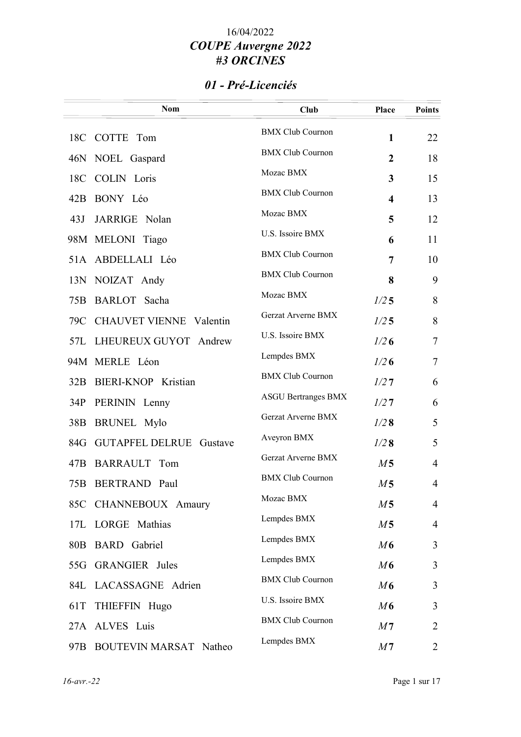### 01 - Pré-Licenciés

|                 | <b>Nom</b>                     | <b>Club</b>                | <b>Place</b>            | <b>Points</b>  |
|-----------------|--------------------------------|----------------------------|-------------------------|----------------|
|                 | 18C COTTE Tom                  | <b>BMX Club Cournon</b>    | $\mathbf{1}$            | 22             |
|                 | 46N NOEL Gaspard               | <b>BMX Club Cournon</b>    | $\overline{2}$          | 18             |
| 18C             | <b>COLIN</b> Loris             | Mozac BMX                  | 3                       | 15             |
|                 | 42B BONY Léo                   | <b>BMX Club Cournon</b>    | $\overline{\mathbf{4}}$ | 13             |
| 43J             | JARRIGE Nolan                  | Mozac BMX                  | 5                       | 12             |
|                 | 98M MELONI Tiago               | U.S. Issoire BMX           | 6                       | 11             |
|                 | 51A ABDELLALI Léo              | <b>BMX Club Cournon</b>    | 7                       | 10             |
|                 | 13N NOIZAT Andy                | <b>BMX Club Cournon</b>    | 8                       | 9              |
| 75B             | BARLOT Sacha                   | Mozac BMX                  | 1/25                    | 8              |
| 79C             | <b>CHAUVET VIENNE Valentin</b> | Gerzat Arverne BMX         | 1/25                    | 8              |
|                 | 57L LHEUREUX GUYOT Andrew      | U.S. Issoire BMX           | 1/26                    | $\tau$         |
|                 | 94M MERLE Léon                 | Lempdes BMX                | 1/26                    | $\tau$         |
|                 | 32B BIERI-KNOP Kristian        | <b>BMX Club Cournon</b>    | 1/27                    | 6              |
| 34P             | PERININ Lenny                  | <b>ASGU Bertranges BMX</b> | 1/27                    | 6              |
| 38 <sub>B</sub> | <b>BRUNEL Mylo</b>             | Gerzat Arverne BMX         | 1/28                    | 5              |
|                 | 84G GUTAPFEL DELRUE Gustave    | Aveyron BMX                | 1/28                    | 5              |
| 47B             | BARRAULT Tom                   | Gerzat Arverne BMX         | M <sub>5</sub>          | $\overline{4}$ |
| 75B             | <b>BERTRAND Paul</b>           | <b>BMX Club Cournon</b>    | M <sub>5</sub>          | $\overline{4}$ |
|                 | 85C CHANNEBOUX Amaury          | Mozac BMX                  | M <sub>5</sub>          | 4              |
|                 | 17L LORGE Mathias              | Lempdes BMX                | M <sub>5</sub>          | $\overline{4}$ |
| 80B             | <b>BARD</b> Gabriel            | Lempdes BMX                | M6                      | 3              |
|                 | 55G GRANGIER Jules             | Lempdes BMX                | M6                      | 3              |
|                 | 84L LACASSAGNE Adrien          | <b>BMX Club Cournon</b>    | M6                      | 3              |
| 61T             | THIEFFIN Hugo                  | U.S. Issoire BMX           | M6                      | 3              |
|                 | 27A ALVES Luis                 | <b>BMX Club Cournon</b>    | M <sub>7</sub>          | $\overline{2}$ |
|                 | 97B BOUTEVIN MARSAT Natheo     | Lempdes BMX                | M <sub>7</sub>          | 2              |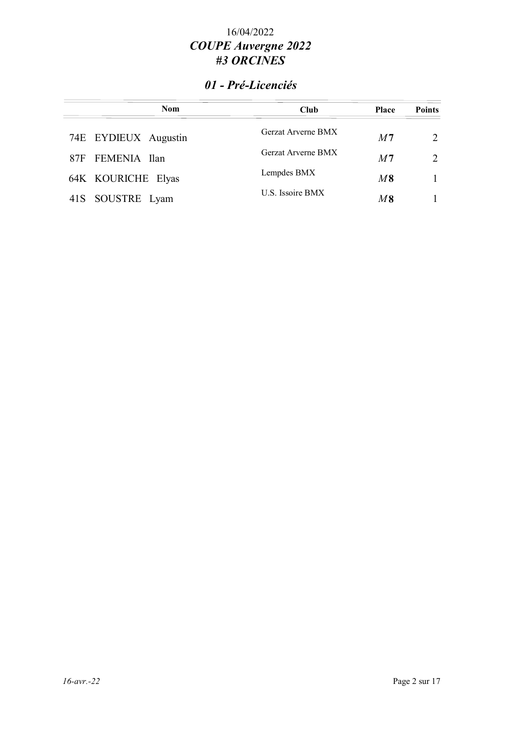### 01 - Pré-Licenciés

| <b>Nom</b>           | <b>Club</b>        | <b>Place</b>   | <b>Points</b> |
|----------------------|--------------------|----------------|---------------|
| 74E EYDIEUX Augustin | Gerzat Arverne BMX | M <sub>7</sub> | $\mathcal{D}$ |
| 87F FEMENIA Ilan     | Gerzat Arverne BMX | M <sub>7</sub> | $\mathcal{D}$ |
| 64K KOURICHE Elyas   | Lempdes BMX        | $M\,8$         |               |
| 41S SOUSTRE Lyam     | U.S. Issoire BMX   | M8             |               |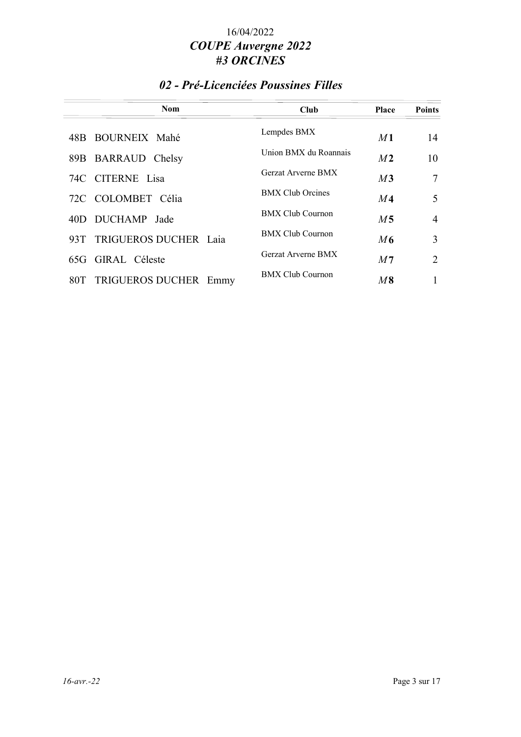### 02 - Pré-Licenciées Poussines Filles

| <b>Nom</b>                        | Club                    | <b>Place</b>   | <b>Points</b>  |
|-----------------------------------|-------------------------|----------------|----------------|
| 48B BOURNEIX Mahé                 | Lempdes BMX             | M <sub>1</sub> | 14             |
| 89B BARRAUD Chelsy                | Union BMX du Roannais   | M <sub>2</sub> | 10             |
| 74C CITERNE Lisa                  | Gerzat Arverne BMX      | M3             | 7              |
| 72C COLOMBET Célia                | <b>BMX Club Orcines</b> | M <sub>4</sub> | 5              |
| 40D DUCHAMP Jade                  | <b>BMX Club Cournon</b> | M <sub>5</sub> | $\overline{4}$ |
| TRIGUEROS DUCHER Laia<br>93T -    | <b>BMX Club Cournon</b> | M6             | 3              |
| 65G GIRAL Céleste                 | Gerzat Arverne BMX      | M <sub>7</sub> | $\overline{2}$ |
| TRIGUEROS DUCHER<br>80T  <br>Emmy | <b>BMX Club Cournon</b> | $M\,8$         |                |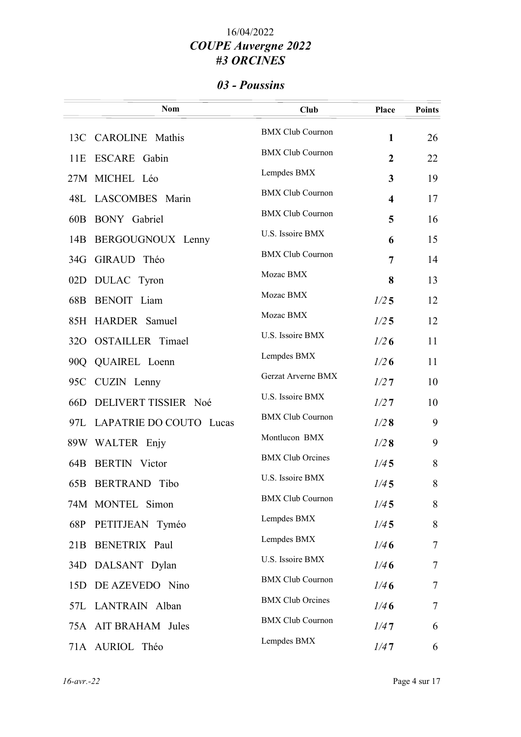## 03 - Poussins

|     | <b>Nom</b>                  | <b>Club</b>             | Place                   | <b>Points</b> |
|-----|-----------------------------|-------------------------|-------------------------|---------------|
|     | 13C CAROLINE Mathis         | <b>BMX Club Cournon</b> | $\mathbf{1}$            | 26            |
| 11E | ESCARE Gabin                | <b>BMX Club Cournon</b> | $\boldsymbol{2}$        | 22            |
|     | 27M MICHEL Léo              | Lempdes BMX             | 3                       | 19            |
| 48L | LASCOMBES Marin             | <b>BMX Club Cournon</b> | $\overline{\mathbf{4}}$ | 17            |
| 60B | <b>BONY</b> Gabriel         | <b>BMX Club Cournon</b> | 5                       | 16            |
| 14B | BERGOUGNOUX Lenny           | U.S. Issoire BMX        | 6                       | 15            |
| 34G | GIRAUD Théo                 | <b>BMX Club Cournon</b> | 7                       | 14            |
| 02D | DULAC Tyron                 | Mozac BMX               | 8                       | 13            |
| 68B | BENOIT Liam                 | Mozac BMX               | 1/25                    | 12            |
|     | 85H HARDER Samuel           | Mozac BMX               | 1/25                    | 12            |
|     | 320 OSTAILLER Timael        | U.S. Issoire BMX        | 1/26                    | 11            |
| 90Q | QUAIREL Loenn               | Lempdes BMX             | 1/26                    | 11            |
| 95C | CUZIN Lenny                 | Gerzat Arverne BMX      | 1/27                    | 10            |
| 66D | DELIVERT TISSIER Noé        | U.S. Issoire BMX        | 1/27                    | 10            |
|     | 97L LAPATRIE DO COUTO Lucas | <b>BMX Club Cournon</b> | 1/28                    | 9             |
|     | 89W WALTER Enjy             | Montlucon BMX           | 1/28                    | 9             |
| 64B | <b>BERTIN</b> Victor        | <b>BMX</b> Club Orcines | 1/45                    | 8             |
|     | 65B BERTRAND Tibo           | U.S. Issoire BMX        | 1/45                    | 8             |
|     | 74M MONTEL Simon            | <b>BMX Club Cournon</b> | 1/45                    | 8             |
| 68P | PETITJEAN Tyméo             | Lempdes BMX             | 1/45                    | 8             |
|     | 21B BENETRIX Paul           | Lempdes BMX             | 1/46                    | 7             |
|     | 34D DALSANT Dylan           | U.S. Issoire BMX        | 1/46                    | 7             |
| 15D | DE AZEVEDO Nino             | <b>BMX Club Cournon</b> | 1/46                    | 7             |
|     | 57L LANTRAIN Alban          | <b>BMX</b> Club Orcines | 1/46                    | 7             |
|     | 75A AIT BRAHAM Jules        | <b>BMX Club Cournon</b> | 1/47                    | 6             |
|     | 71A AURIOL Théo             | Lempdes BMX             | 1/47                    | 6             |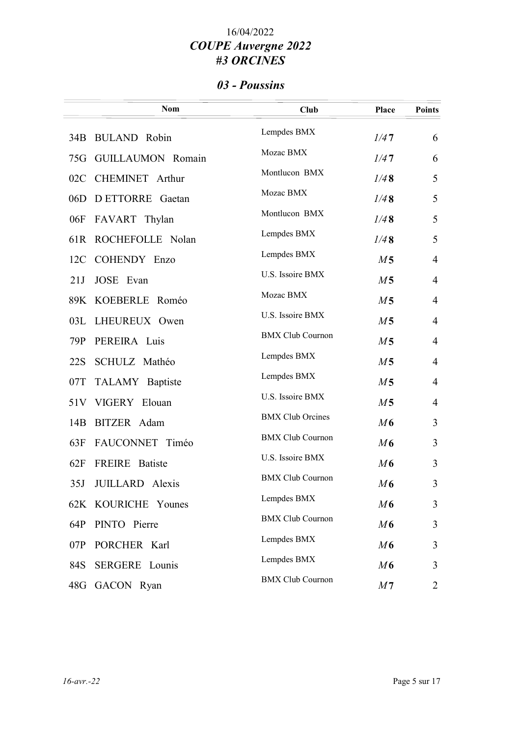# 03 - Poussins

|     | <b>Nom</b>             | <b>Club</b>             | <b>Place</b>   | <b>Points</b>  |
|-----|------------------------|-------------------------|----------------|----------------|
|     | 34B BULAND Robin       | Lempdes BMX             | 1/47           | 6              |
|     | 75G GUILLAUMON Romain  | Mozac BMX               | 1/47           | 6              |
| 02C | <b>CHEMINET</b> Arthur | Montlucon BMX           | 1/48           | 5              |
|     | 06D DETTORRE Gaetan    | Mozac BMX               | 1/48           | 5              |
|     | 06F FAVART Thylan      | Montlucon BMX           | 1/48           | 5              |
|     | 61R ROCHEFOLLE Nolan   | Lempdes BMX             | 1/48           | 5              |
|     | 12C COHENDY Enzo       | Lempdes BMX             | M <sub>5</sub> | $\overline{4}$ |
| 21J | JOSE Evan              | U.S. Issoire BMX        | M <sub>5</sub> | $\overline{4}$ |
|     | 89K KOEBERLE Roméo     | Mozac BMX               | M <sub>5</sub> | $\overline{4}$ |
| 03L | LHEUREUX Owen          | U.S. Issoire BMX        | M <sub>5</sub> | $\overline{4}$ |
| 79P | PEREIRA Luis           | <b>BMX Club Cournon</b> | M <sub>5</sub> | $\overline{4}$ |
| 22S | SCHULZ Mathéo          | Lempdes BMX             | M <sub>5</sub> | $\overline{4}$ |
| 07T | TALAMY Baptiste        | Lempdes BMX             | M <sub>5</sub> | $\overline{4}$ |
|     | 51V VIGERY Elouan      | U.S. Issoire BMX        | M <sub>5</sub> | $\overline{4}$ |
| 14B | BITZER Adam            | <b>BMX Club Orcines</b> | M6             | 3              |
| 63F | FAUCONNET Timéo        | <b>BMX Club Cournon</b> | M6             | 3              |
| 62F | FREIRE Batiste         | U.S. Issoire BMX        | M6             | 3              |
| 35J | JUILLARD Alexis        | <b>BMX Club Cournon</b> | M6             | 3              |
|     | 62K KOURICHE Younes    | Lempdes BMX             | M6             | 3              |
| 64P | PINTO Pierre           | <b>BMX Club Cournon</b> | M6             | 3              |
| 07P | PORCHER Karl           | Lempdes BMX             | M6             | 3              |
| 84S | <b>SERGERE</b> Lounis  | Lempdes BMX             | M6             | 3              |
| 48G | GACON Ryan             | <b>BMX Club Cournon</b> | M <sub>7</sub> | 2              |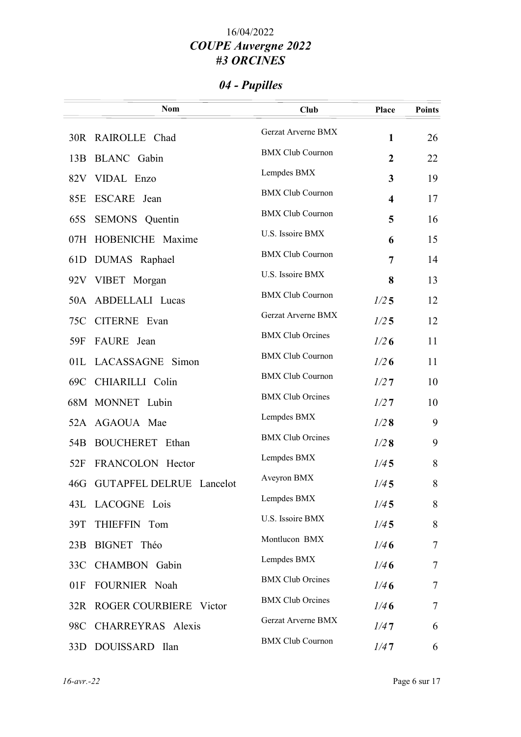# 04 - Pupilles

|                 | <b>Nom</b>                   | <b>Club</b>             | Place                   | <b>Points</b> |
|-----------------|------------------------------|-------------------------|-------------------------|---------------|
|                 | 30R RAIROLLE Chad            | Gerzat Arverne BMX      | 1                       | 26            |
| 13B             | <b>BLANC</b> Gabin           | <b>BMX Club Cournon</b> | $\overline{2}$          | 22            |
|                 | 82V VIDAL Enzo               | Lempdes BMX             | 3                       | 19            |
| 85E             | ESCARE Jean                  | <b>BMX Club Cournon</b> | $\overline{\mathbf{4}}$ | 17            |
| 65S             | SEMONS Quentin               | <b>BMX Club Cournon</b> | 5                       | 16            |
| 07H             | HOBENICHE Maxime             | U.S. Issoire BMX        | 6                       | 15            |
| 61D             | DUMAS Raphael                | <b>BMX Club Cournon</b> | 7                       | 14            |
|                 | 92V VIBET Morgan             | U.S. Issoire BMX        | 8                       | 13            |
|                 | 50A ABDELLALI Lucas          | <b>BMX Club Cournon</b> | 1/25                    | 12            |
|                 | 75C CITERNE Evan             | Gerzat Arverne BMX      | 1/25                    | 12            |
| 59F             | FAURE Jean                   | <b>BMX</b> Club Orcines | 1/26                    | 11            |
|                 | 01L LACASSAGNE Simon         | <b>BMX Club Cournon</b> | 1/26                    | 11            |
| 69C             | CHIARILLI Colin              | <b>BMX Club Cournon</b> | 1/27                    | 10            |
|                 | 68M MONNET Lubin             | <b>BMX</b> Club Orcines | 1/27                    | 10            |
|                 | 52A AGAOUA Mae               | Lempdes BMX             | 1/28                    | 9             |
| 54 <sub>B</sub> | <b>BOUCHERET</b> Ethan       | <b>BMX</b> Club Orcines | 1/28                    | 9             |
| 52F             | FRANCOLON Hector             | Lempdes BMX             | 1/45                    | 8             |
|                 | 46G GUTAPFEL DELRUE Lancelot | Aveyron BMX             | 1/45                    | 8             |
|                 | 43L LACOGNE Lois             | Lempdes BMX             | 1/45                    | 8             |
| 39T             | THIEFFIN Tom                 | U.S. Issoire BMX        | 1/45                    | 8             |
| 23B             | BIGNET Théo                  | Montlucon BMX           | 1/46                    | 7             |
|                 | 33C CHAMBON Gabin            | Lempdes BMX             | 1/46                    | 7             |
| 01F             | FOURNIER Noah                | <b>BMX Club Orcines</b> | 1/46                    | 7             |
|                 | 32R ROGER COURBIERE Victor   | <b>BMX Club Orcines</b> | 1/46                    | 7             |
| 98C             | CHARREYRAS Alexis            | Gerzat Arverne BMX      | 1/47                    | 6             |
|                 | 33D DOUISSARD Ilan           | <b>BMX Club Cournon</b> | 1/47                    | 6             |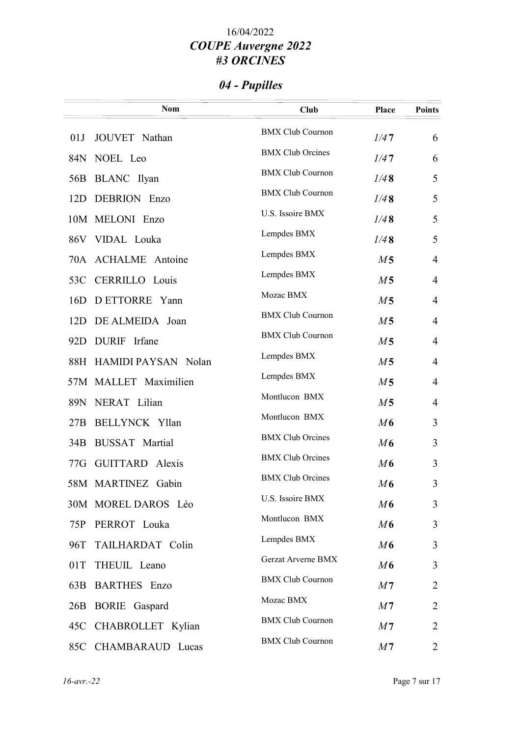# 04 - Pupilles

|     | <b>Nom</b>              | <b>Club</b>             | <b>Place</b>   | <b>Points</b>  |
|-----|-------------------------|-------------------------|----------------|----------------|
| 01J | JOUVET Nathan           | <b>BMX Club Cournon</b> | 1/47           | 6              |
|     | 84N NOEL Leo            | <b>BMX</b> Club Orcines | 1/47           | 6              |
|     | 56B BLANC Ilyan         | <b>BMX Club Cournon</b> | 1/48           | 5              |
|     | 12D DEBRION Enzo        | <b>BMX Club Cournon</b> | 1/48           | 5              |
|     | 10M MELONI Enzo         | U.S. Issoire BMX        | 1/48           | 5              |
|     | 86V VIDAL Louka         | Lempdes BMX             | 1/48           | 5              |
|     | 70A ACHALME Antoine     | Lempdes BMX             | M <sub>5</sub> | $\overline{4}$ |
|     | 53C CERRILLO Louis      | Lempdes BMX             | M <sub>5</sub> | $\overline{4}$ |
| 16D | D ETTORRE Yann          | Mozac BMX               | M <sub>5</sub> | $\overline{4}$ |
| 12D | DE ALMEIDA Joan         | <b>BMX Club Cournon</b> | M <sub>5</sub> | $\overline{4}$ |
| 92D | DURIF Irfane            | <b>BMX Club Cournon</b> | M <sub>5</sub> | $\overline{4}$ |
|     | 88H HAMIDI PAYSAN Nolan | Lempdes BMX             | M <sub>5</sub> | $\overline{4}$ |
|     | 57M MALLET Maximilien   | Lempdes BMX             | M <sub>5</sub> | $\overline{4}$ |
|     | 89N NERAT Lilian        | Montlucon BMX           | M <sub>5</sub> | $\overline{4}$ |
| 27B | <b>BELLYNCK Yllan</b>   | Montlucon BMX           | M6             | 3              |
| 34B | <b>BUSSAT</b> Martial   | <b>BMX Club Orcines</b> | M6             | 3              |
|     | 77G GUITTARD Alexis     | <b>BMX</b> Club Orcines | M6             | 3              |
|     | 58M MARTINEZ Gabin      | <b>BMX Club Orcines</b> | M6             | 3              |
|     | 30M MOREL DAROS Léo     | U.S. Issoire BMX        | M6             | 3              |
| 75P | PERROT Louka            | Montlucon BMX           | M6             | 3              |
| 96T | TAILHARDAT Colin        | Lempdes BMX             | M6             | 3              |
| 01T | THEUIL Leano            | Gerzat Arverne BMX      | M6             | 3              |
|     | 63B BARTHES Enzo        | <b>BMX Club Cournon</b> | M <sub>7</sub> | 2              |
|     | 26B BORIE Gaspard       | Mozac BMX               | M <sub>7</sub> | 2              |
|     | 45C CHABROLLET Kylian   | <b>BMX Club Cournon</b> | M <sub>7</sub> | $\overline{2}$ |
| 85C | CHAMBARAUD Lucas        | <b>BMX Club Cournon</b> | M <sub>7</sub> | 2              |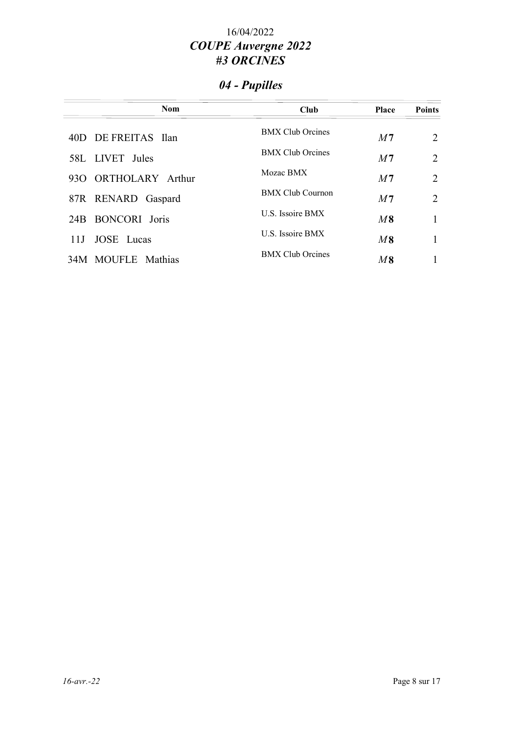# 04 - Pupilles

| <b>Nom</b>           | <b>Club</b>             | <b>Place</b>   | <b>Points</b>  |
|----------------------|-------------------------|----------------|----------------|
| 40D DE FREITAS Ilan  | <b>BMX Club Orcines</b> | M <sub>7</sub> | 2              |
| 58L LIVET Jules      | <b>BMX Club Orcines</b> | M <sub>7</sub> | $\overline{2}$ |
| 930 ORTHOLARY Arthur | Mozac BMX               | M <sub>7</sub> | $\overline{2}$ |
| 87R RENARD Gaspard   | <b>BMX Club Cournon</b> | M <sub>7</sub> | 2              |
| 24B BONCORI Joris    | U.S. Issoire BMX        | M8             |                |
| JOSE Lucas<br>11J -  | <b>U.S. Issoire BMX</b> | M8             |                |
| 34M MOUFLE Mathias   | <b>BMX</b> Club Orcines | $M\,8$         |                |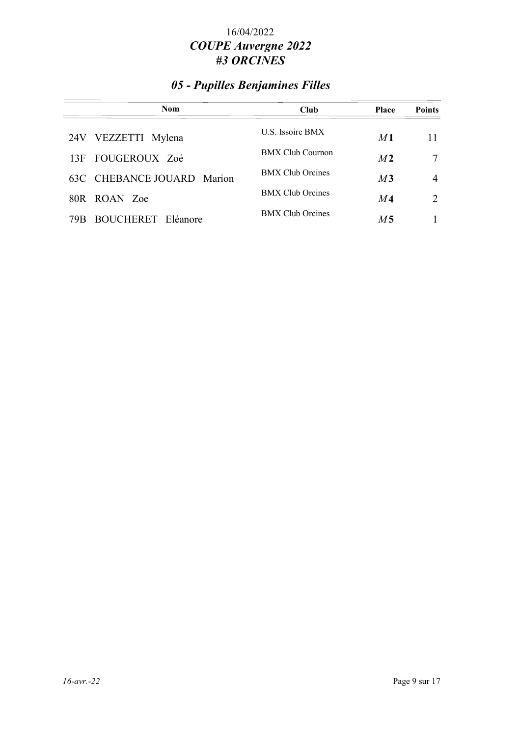## 05 - Pupilles Benjamines Filles

| <b>Nom</b>                          | <b>Club</b>             | <b>Place</b>   | <b>Points</b> |
|-------------------------------------|-------------------------|----------------|---------------|
| 24V VEZZETTI Mylena                 | <b>U.S. Issoire BMX</b> | M <sub>1</sub> | 11            |
| 13F FOUGEROUX Zoé                   | <b>BMX Club Cournon</b> | M <sub>2</sub> |               |
| 63C CHEBANCE JOUARD Marion          | <b>BMX Club Orcines</b> | M3             | 4             |
| 80R ROAN Zoe                        | <b>BMX Club Orcines</b> | M4             | $\mathcal{L}$ |
| <b>BOUCHERET</b><br>Eléanore<br>79B | <b>BMX Club Orcines</b> | M5             |               |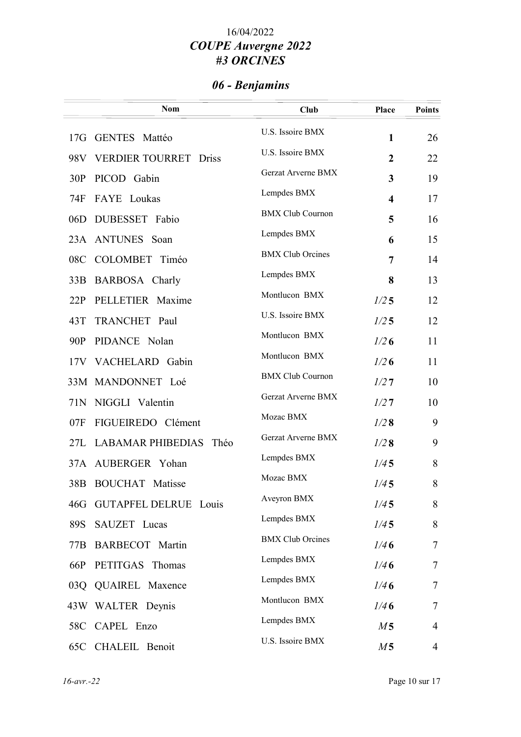# 06 - Benjamins

|     | <b>Nom</b>                    | Club                    | <b>Place</b>            | <b>Points</b>  |
|-----|-------------------------------|-------------------------|-------------------------|----------------|
|     | 17G GENTES Mattéo             | U.S. Issoire BMX        | $\mathbf{1}$            | 26             |
|     | 98V VERDIER TOURRET Driss     | U.S. Issoire BMX        | $\overline{2}$          | 22             |
| 30P | PICOD Gabin                   | Gerzat Arverne BMX      | 3                       | 19             |
| 74F | FAYE Loukas                   | Lempdes BMX             | $\overline{\mathbf{4}}$ | 17             |
| 06D | DUBESSET Fabio                | <b>BMX Club Cournon</b> | 5                       | 16             |
|     | 23A ANTUNES Soan              | Lempdes BMX             | 6                       | 15             |
| 08C | COLOMBET Timéo                | <b>BMX</b> Club Orcines | 7                       | 14             |
| 33B | BARBOSA Charly                | Lempdes BMX             | 8                       | 13             |
| 22P | PELLETIER Maxime              | Montlucon BMX           | 1/25                    | 12             |
| 43T | TRANCHET Paul                 | U.S. Issoire BMX        | 1/25                    | 12             |
| 90P | PIDANCE Nolan                 | Montlucon BMX           | 1/26                    | 11             |
|     | 17V VACHELARD Gabin           | Montlucon BMX           | 1/26                    | 11             |
|     | 33M MANDONNET Loé             | <b>BMX Club Cournon</b> | 1/27                    | 10             |
|     | 71N NIGGLI Valentin           | Gerzat Arverne BMX      | 1/27                    | 10             |
| 07F | FIGUEIREDO Clément            | Mozac BMX               | 1/28                    | 9              |
|     | 27L LABAMAR PHIBEDIAS<br>Théo | Gerzat Arverne BMX      | 1/28                    | 9              |
|     | 37A AUBERGER Yohan            | Lempdes BMX             | 1/45                    | 8              |
| 38B | <b>BOUCHAT</b> Matisse        | Mozac BMX               | 1/45                    | 8              |
| 46G | <b>GUTAPFEL DELRUE Louis</b>  | Aveyron BMX             | 1/45                    | 8              |
| 89S | SAUZET Lucas                  | Lempdes BMX             | 1/45                    | 8              |
|     | 77B BARBECOT Martin           | <b>BMX Club Orcines</b> | 1/46                    | $\tau$         |
| 66P | PETITGAS Thomas               | Lempdes BMX             | 1/46                    | $\overline{7}$ |
|     | 03Q QUAIREL Maxence           | Lempdes BMX             | 1/46                    | $\overline{7}$ |
|     | 43W WALTER Deynis             | Montlucon BMX           | 1/46                    | $\overline{7}$ |
|     | 58C CAPEL Enzo                | Lempdes BMX             | M <sub>5</sub>          | $\overline{4}$ |
|     | 65C CHALEIL Benoit            | U.S. Issoire BMX        | M <sub>5</sub>          | $\overline{4}$ |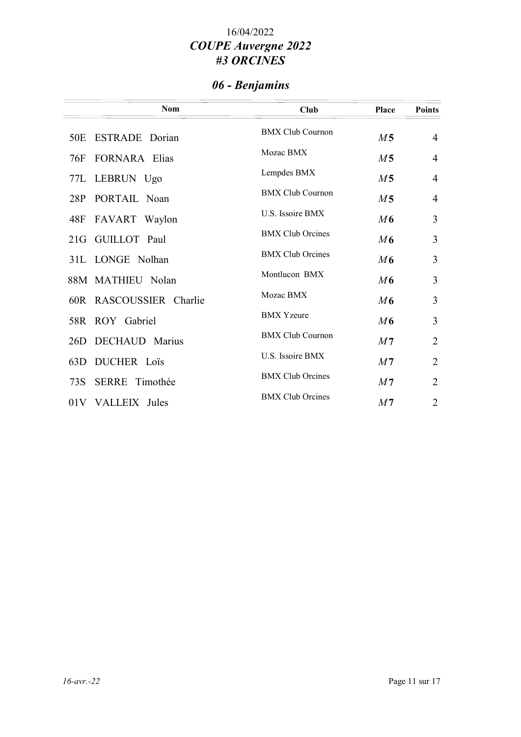# 06 - Benjamins

| <b>Nom</b>                   | Club                    | <b>Place</b>   | <b>Points</b>  |
|------------------------------|-------------------------|----------------|----------------|
| <b>ESTRADE</b> Dorian<br>50E | <b>BMX Club Cournon</b> | M <sub>5</sub> | $\overline{4}$ |
| <b>FORNARA</b> Elias<br>76F  | Mozac BMX               | M <sub>5</sub> | $\overline{4}$ |
| 77L LEBRUN Ugo               | Lempdes BMX             | M <sub>5</sub> | $\overline{4}$ |
| 28P<br>PORTAIL Noan          | <b>BMX Club Cournon</b> | M <sub>5</sub> | $\overline{4}$ |
| FAVART Waylon<br>48F         | U.S. Issoire BMX        | M6             | 3              |
| GUILLOT Paul<br>21G          | <b>BMX Club Orcines</b> | M6             | 3              |
| 31L LONGE Nolhan             | <b>BMX Club Orcines</b> | M6             | 3              |
| 88M MATHIEU Nolan            | Montlucon BMX           | M6             | 3              |
| 60R RASCOUSSIER Charlie      | Mozac BMX               | M6             | 3              |
| 58R ROY Gabriel              | <b>BMX</b> Yzeure       | M6             | 3              |
| DECHAUD Marius<br>26D        | <b>BMX Club Cournon</b> | M <sub>7</sub> | $\overline{2}$ |
| DUCHER Loïs<br>63D           | U.S. Issoire BMX        | M <sub>7</sub> | $\overline{2}$ |
| SERRE Timothée<br>73S        | <b>BMX Club Orcines</b> | M <sub>7</sub> | $\overline{2}$ |
| 01V VALLEIX Jules            | <b>BMX Club Orcines</b> | M <sub>7</sub> | $\overline{2}$ |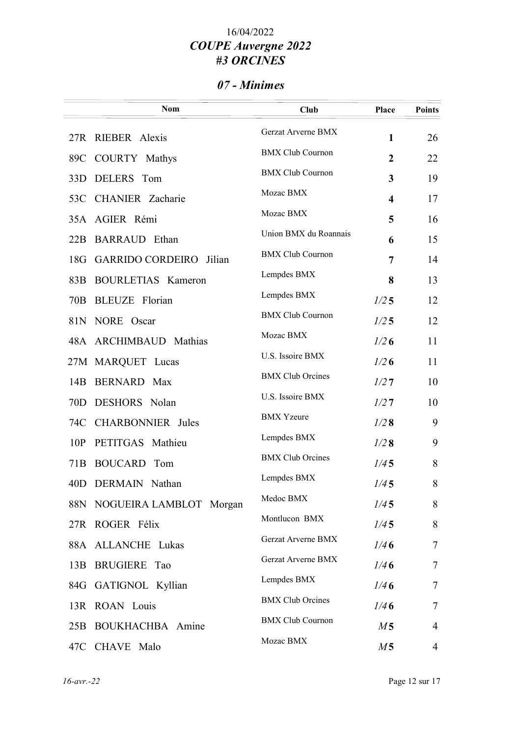## 07 - Minimes

|                 | <b>Nom</b>                        | <b>Club</b>             | Place                   | <b>Points</b>  |
|-----------------|-----------------------------------|-------------------------|-------------------------|----------------|
|                 | 27R RIEBER Alexis                 | Gerzat Arverne BMX      | $\mathbf{1}$            | 26             |
|                 | 89C COURTY Mathys                 | <b>BMX Club Cournon</b> | $\overline{2}$          | 22             |
| 33D             | DELERS Tom                        | <b>BMX Club Cournon</b> | $\overline{\mathbf{3}}$ | 19             |
|                 | 53C CHANIER Zacharie              | Mozac BMX               | $\overline{\mathbf{4}}$ | 17             |
|                 | 35A AGIER Rémi                    | Mozac BMX               | 5                       | 16             |
|                 | 22B BARRAUD Ethan                 | Union BMX du Roannais   | 6                       | 15             |
| 18G             | <b>GARRIDO CORDEIRO</b><br>Jilian | <b>BMX Club Cournon</b> | 7                       | 14             |
| 83B             | BOURLETIAS Kameron                | Lempdes BMX             | 8                       | 13             |
| 70B             | <b>BLEUZE</b> Florian             | Lempdes BMX             | 1/25                    | 12             |
|                 | 81N NORE Oscar                    | <b>BMX Club Cournon</b> | 1/25                    | 12             |
|                 | 48A ARCHIMBAUD Mathias            | Mozac BMX               | 1/26                    | 11             |
|                 | 27M MARQUET Lucas                 | U.S. Issoire BMX        | 1/26                    | 11             |
| 14B             | <b>BERNARD</b> Max                | <b>BMX Club Orcines</b> | 1/27                    | 10             |
| 70D             | DESHORS Nolan                     | U.S. Issoire BMX        | 1/27                    | 10             |
| 74C             | <b>CHARBONNIER</b> Jules          | <b>BMX</b> Yzeure       | 1/28                    | 9              |
| 10P             | PETITGAS Mathieu                  | Lempdes BMX             | 1/28                    | 9              |
| 71 <sub>B</sub> | <b>BOUCARD</b> Tom                | <b>BMX Club Orcines</b> | 1/45                    | 8              |
| 40D             | DERMAIN Nathan                    | Lempdes BMX             | 1/45                    | 8              |
|                 | 88N NOGUEIRA LAMBLOT Morgan       | Medoc BMX               | 1/45                    | 8              |
|                 | 27R ROGER Félix                   | Montlucon BMX           | 1/45                    | 8              |
|                 | 88A ALLANCHE Lukas                | Gerzat Arverne BMX      | 1/46                    | $\tau$         |
|                 | 13B BRUGIERE Tao                  | Gerzat Arverne BMX      | 1/46                    | $\overline{7}$ |
|                 | 84G GATIGNOL Kyllian              | Lempdes BMX             | 1/46                    | $\tau$         |
|                 | 13R ROAN Louis                    | <b>BMX Club Orcines</b> | 1/46                    | $\tau$         |
|                 | 25B BOUKHACHBA Amine              | <b>BMX Club Cournon</b> | M <sub>5</sub>          | $\overline{4}$ |
|                 | 47C CHAVE Malo                    | Mozac BMX               | M <sub>5</sub>          | 4              |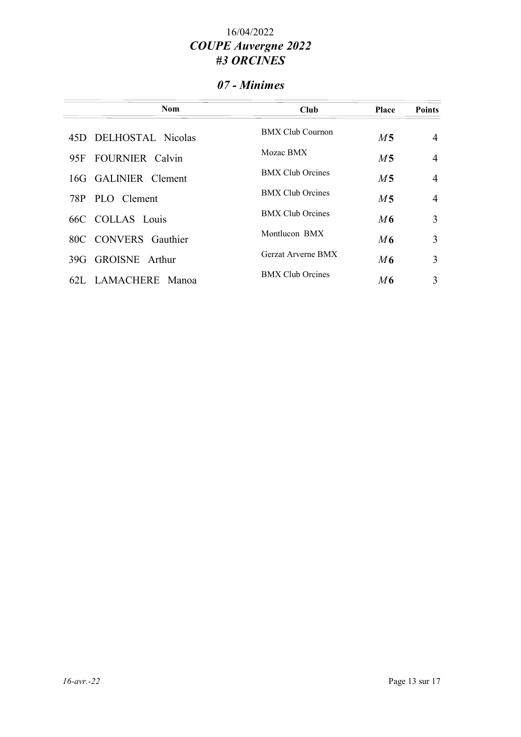## 07 - Minimes

| <b>Nom</b>                    | Club                    | <b>Place</b>   | <b>Points</b>  |
|-------------------------------|-------------------------|----------------|----------------|
| DELHOSTAL Nicolas<br>45D.     | <b>BMX Club Cournon</b> | M <sub>5</sub> | $\overline{4}$ |
| <b>FOURNIER</b> Calvin<br>95F | Mozac BMX               | M <sub>5</sub> | $\overline{4}$ |
| 16G GALINIER Clement          | <b>BMX Club Orcines</b> | M <sub>5</sub> | $\overline{4}$ |
| 78P PLO Clement               | <b>BMX Club Orcines</b> | M <sub>5</sub> | $\overline{4}$ |
| 66C COLLAS Louis              | <b>BMX Club Orcines</b> | M6             | 3              |
| 80C CONVERS Gauthier          | Montlucon BMX           | M6             | 3              |
| <b>GROISNE</b> Arthur<br>39G  | Gerzat Arverne BMX      | M6             | 3              |
| LAMACHERE<br>62L.<br>Manoa    | <b>BMX Club Orcines</b> | M6             | 3              |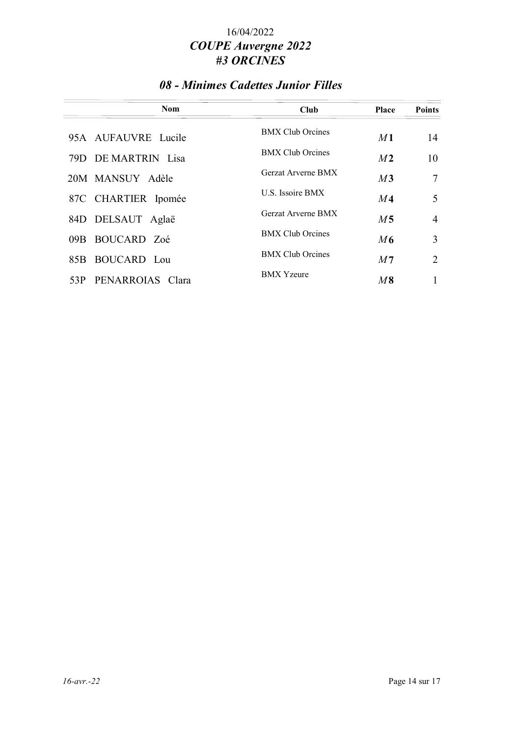### 08 - Minimes Cadettes Junior Filles

| <b>Nom</b>              | <b>Club</b>             | <b>Place</b>   | <b>Points</b>  |
|-------------------------|-------------------------|----------------|----------------|
| 95A AUFAUVRE Lucile     | <b>BMX Club Orcines</b> | M1             | 14             |
| 79D DE MARTRIN Lisa     | <b>BMX Club Orcines</b> | M <sub>2</sub> | 10             |
| 20M MANSUY Adèle        | Gerzat Arverne BMX      | M3             | 7              |
| 87C CHARTIER Ipomée     | U.S. Issoire BMX        | M <sub>4</sub> | 5              |
| 84D DELSAUT Aglaë       | Gerzat Arverne BMX      | M <sub>5</sub> | $\overline{4}$ |
| 09B BOUCARD Zoé         | <b>BMX Club Orcines</b> | M6             | 3              |
| 85B BOUCARD Lou         | <b>BMX Club Orcines</b> | M <sub>7</sub> | $\overline{2}$ |
| PENARROIAS Clara<br>53P | <b>BMX</b> Yzeure       | $M\,8$         |                |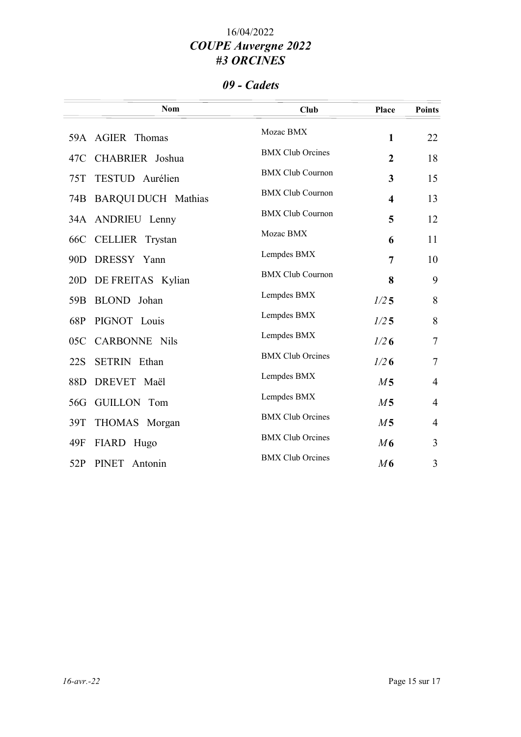#### 09 - Cadets

| Mozac BMX<br>59A AGIER Thomas<br>$\mathbf{1}$<br><b>BMX Club Orcines</b><br>CHABRIER Joshua<br>$\overline{2}$<br>47C<br><b>BMX Club Cournon</b><br>TESTUD Aurélien<br>75T<br>3<br><b>BMX</b> Club Cournon<br><b>BARQUI DUCH Mathias</b><br>74B<br>$\overline{\mathbf{4}}$<br><b>BMX Club Cournon</b><br>34A ANDRIEU Lenny<br>5<br>Mozac BMX | <b>Points</b>  |
|---------------------------------------------------------------------------------------------------------------------------------------------------------------------------------------------------------------------------------------------------------------------------------------------------------------------------------------------|----------------|
|                                                                                                                                                                                                                                                                                                                                             | 22             |
|                                                                                                                                                                                                                                                                                                                                             | 18             |
|                                                                                                                                                                                                                                                                                                                                             | 15             |
|                                                                                                                                                                                                                                                                                                                                             | 13             |
|                                                                                                                                                                                                                                                                                                                                             | 12             |
| CELLIER Trystan<br>66C<br>6                                                                                                                                                                                                                                                                                                                 | 11             |
| Lempdes BMX<br>DRESSY Yann<br>7<br>90 <sub>D</sub>                                                                                                                                                                                                                                                                                          | 10             |
| <b>BMX Club Cournon</b><br>8<br>20D<br>DE FREITAS Kylian                                                                                                                                                                                                                                                                                    | 9              |
| Lempdes BMX<br>BLOND Johan<br>1/25<br>59 <sub>B</sub>                                                                                                                                                                                                                                                                                       | 8              |
| Lempdes BMX<br>68P<br>PIGNOT Louis<br>1/25                                                                                                                                                                                                                                                                                                  | 8              |
| Lempdes BMX<br><b>CARBONNE Nils</b><br>1/26<br>05C                                                                                                                                                                                                                                                                                          | $\tau$         |
| <b>BMX Club Orcines</b><br><b>SETRIN</b> Ethan<br>1/26<br>22S                                                                                                                                                                                                                                                                               | $\overline{7}$ |
| Lempdes BMX<br>DREVET Maël<br>88D<br>M <sub>5</sub>                                                                                                                                                                                                                                                                                         | $\overline{4}$ |
| Lempdes BMX<br>GUILLON Tom<br>M <sub>5</sub><br>56G                                                                                                                                                                                                                                                                                         | $\overline{4}$ |
| <b>BMX</b> Club Orcines<br>M <sub>5</sub><br>39T<br>THOMAS Morgan                                                                                                                                                                                                                                                                           | $\overline{4}$ |
| <b>BMX</b> Club Orcines<br>M6<br>49F<br>FIARD Hugo                                                                                                                                                                                                                                                                                          | 3              |
| <b>BMX Club Orcines</b><br>52P<br><b>PINET</b><br>M6<br>Antonin                                                                                                                                                                                                                                                                             | 3              |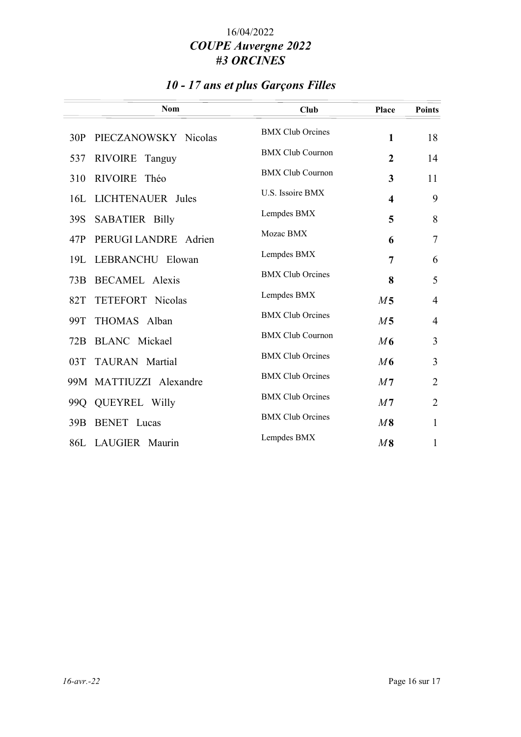## 10 - 17 ans et plus Garçons Filles

| <b>Nom</b>                     | Club                    | Place                   | <b>Points</b>  |
|--------------------------------|-------------------------|-------------------------|----------------|
| PIECZANOWSKY Nicolas<br>30P    | <b>BMX</b> Club Orcines | $\mathbf{1}$            | 18             |
| RIVOIRE Tanguy<br>537          | <b>BMX Club Cournon</b> | $\overline{2}$          | 14             |
| RIVOIRE Théo<br>310            | <b>BMX Club Cournon</b> | 3                       | 11             |
| 16L LICHTENAUER Jules          | U.S. Issoire BMX        | $\overline{\mathbf{4}}$ | 9              |
| <b>SABATIER Billy</b><br>39S   | Lempdes BMX             | 5                       | 8              |
| PERUGI LANDRE<br>47P<br>Adrien | Mozac BMX               | 6                       | $\overline{7}$ |
| LEBRANCHU Elowan<br>19L        | Lempdes BMX             | $\overline{7}$          | 6              |
| <b>BECAMEL Alexis</b><br>73B   | <b>BMX</b> Club Orcines | 8                       | 5              |
| TETEFORT Nicolas<br>82T        | Lempdes BMX             | M <sub>5</sub>          | $\overline{4}$ |
| THOMAS Alban<br>99T            | <b>BMX Club Orcines</b> | M <sub>5</sub>          | $\overline{4}$ |
| <b>BLANC</b> Mickael<br>72B    | <b>BMX Club Cournon</b> | M6                      | 3              |
| 03T TAURAN Martial             | <b>BMX</b> Club Orcines | M6                      | 3              |
| 99M MATTIUZZI Alexandre        | <b>BMX Club Orcines</b> | M <sub>7</sub>          | $\overline{2}$ |
| 99Q QUEYREL Willy              | <b>BMX Club Orcines</b> | M <sub>7</sub>          | $\overline{2}$ |
| <b>BENET</b> Lucas<br>39B      | <b>BMX</b> Club Orcines | $M\,8$                  | $\mathbf{1}$   |
| 86L LAUGIER Maurin             | Lempdes BMX             | $M\,8$                  | 1              |